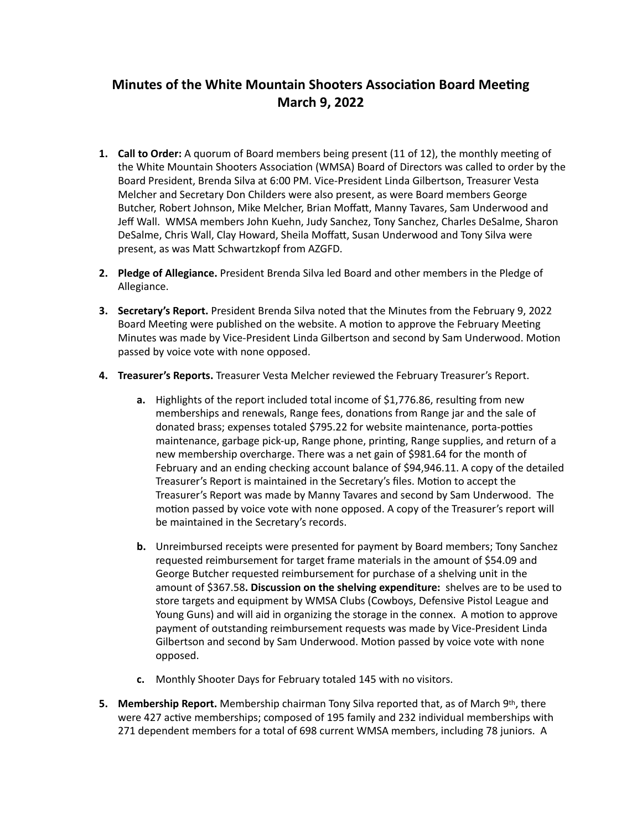## **Minutes of the White Mountain Shooters Association Board Meeting March 9, 2022**

- **1. Call to Order:** A quorum of Board members being present (11 of 12), the monthly meeting of the White Mountain Shooters Association (WMSA) Board of Directors was called to order by the Board President, Brenda Silva at 6:00 PM. Vice-President Linda Gilbertson, Treasurer Vesta Melcher and Secretary Don Childers were also present, as were Board members George Butcher, Robert Johnson, Mike Melcher, Brian Moffatt, Manny Tavares, Sam Underwood and Jeff Wall. WMSA members John Kuehn, Judy Sanchez, Tony Sanchez, Charles DeSalme, Sharon DeSalme, Chris Wall, Clay Howard, Sheila Moffatt, Susan Underwood and Tony Silva were present, as was Matt Schwartzkopf from AZGFD.
- **2. Pledge of Allegiance.** President Brenda Silva led Board and other members in the Pledge of Allegiance.
- **3.** Secretary's Report. President Brenda Silva noted that the Minutes from the February 9, 2022 Board Meeting were published on the website. A motion to approve the February Meeting Minutes was made by Vice-President Linda Gilbertson and second by Sam Underwood. Motion passed by voice vote with none opposed.
- **4. Treasurer's Reports.** Treasurer Vesta Melcher reviewed the February Treasurer's Report.
	- **a.** Highlights of the report included total income of \$1,776.86, resulting from new memberships and renewals, Range fees, donations from Range jar and the sale of donated brass; expenses totaled \$795.22 for website maintenance, porta-potties maintenance, garbage pick-up, Range phone, printing, Range supplies, and return of a new membership overcharge. There was a net gain of \$981.64 for the month of February and an ending checking account balance of  $$94,946.11$ . A copy of the detailed Treasurer's Report is maintained in the Secretary's files. Motion to accept the Treasurer's Report was made by Manny Tavares and second by Sam Underwood. The motion passed by voice vote with none opposed. A copy of the Treasurer's report will be maintained in the Secretary's records.
	- **b.** Unreimbursed receipts were presented for payment by Board members; Tony Sanchez requested reimbursement for target frame materials in the amount of \$54.09 and George Butcher requested reimbursement for purchase of a shelving unit in the amount of \$367.58. Discussion on the shelving expenditure: shelves are to be used to store targets and equipment by WMSA Clubs (Cowboys, Defensive Pistol League and Young Guns) and will aid in organizing the storage in the connex. A motion to approve payment of outstanding reimbursement requests was made by Vice-President Linda Gilbertson and second by Sam Underwood. Motion passed by voice vote with none opposed.
	- **c.** Monthly Shooter Days for February totaled 145 with no visitors.
- **5.** Membership Report. Membership chairman Tony Silva reported that, as of March 9th, there were 427 active memberships; composed of 195 family and 232 individual memberships with 271 dependent members for a total of 698 current WMSA members, including 78 juniors. A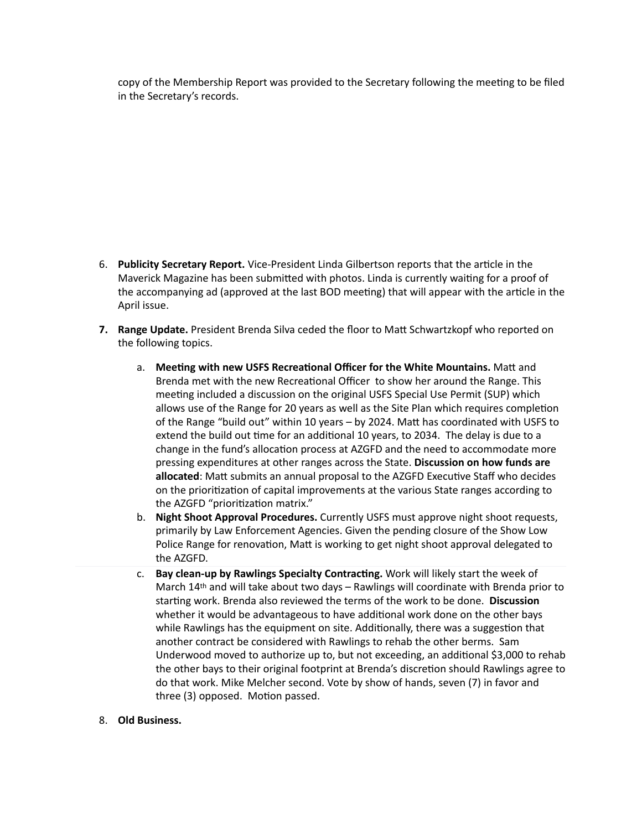copy of the Membership Report was provided to the Secretary following the meeting to be filed in the Secretary's records.

- 6. Publicity Secretary Report. Vice-President Linda Gilbertson reports that the article in the Maverick Magazine has been submitted with photos. Linda is currently waiting for a proof of the accompanying ad (approved at the last BOD meeting) that will appear with the article in the April issue.
- **7.** Range Update. President Brenda Silva ceded the floor to Matt Schwartzkopf who reported on the following topics.
	- a. Meeting with new USFS Recreational Officer for the White Mountains. Matt and Brenda met with the new Recreational Officer to show her around the Range. This meeting included a discussion on the original USFS Special Use Permit (SUP) which allows use of the Range for 20 years as well as the Site Plan which requires completion of the Range "build out" within 10 years - by 2024. Matt has coordinated with USFS to extend the build out time for an additional 10 years, to 2034. The delay is due to a change in the fund's allocation process at AZGFD and the need to accommodate more pressing expenditures at other ranges across the State. Discussion on how funds are allocated: Matt submits an annual proposal to the AZGFD Executive Staff who decides on the prioritization of capital improvements at the various State ranges according to the AZGFD "prioritization matrix."
	- b. **Night Shoot Approval Procedures.** Currently USFS must approve night shoot requests, primarily by Law Enforcement Agencies. Given the pending closure of the Show Low Police Range for renovation, Matt is working to get night shoot approval delegated to the AZGFD.
	- c. **Bay clean-up by Rawlings Specialty Contracting.** Work will likely start the week of March  $14th$  and will take about two days – Rawlings will coordinate with Brenda prior to starting work. Brenda also reviewed the terms of the work to be done. Discussion whether it would be advantageous to have additional work done on the other bays while Rawlings has the equipment on site. Additionally, there was a suggestion that another contract be considered with Rawlings to rehab the other berms. Sam Underwood moved to authorize up to, but not exceeding, an additional \$3,000 to rehab the other bays to their original footprint at Brenda's discretion should Rawlings agree to do that work. Mike Melcher second. Vote by show of hands, seven (7) in favor and three (3) opposed. Motion passed.
- 8. Old Business.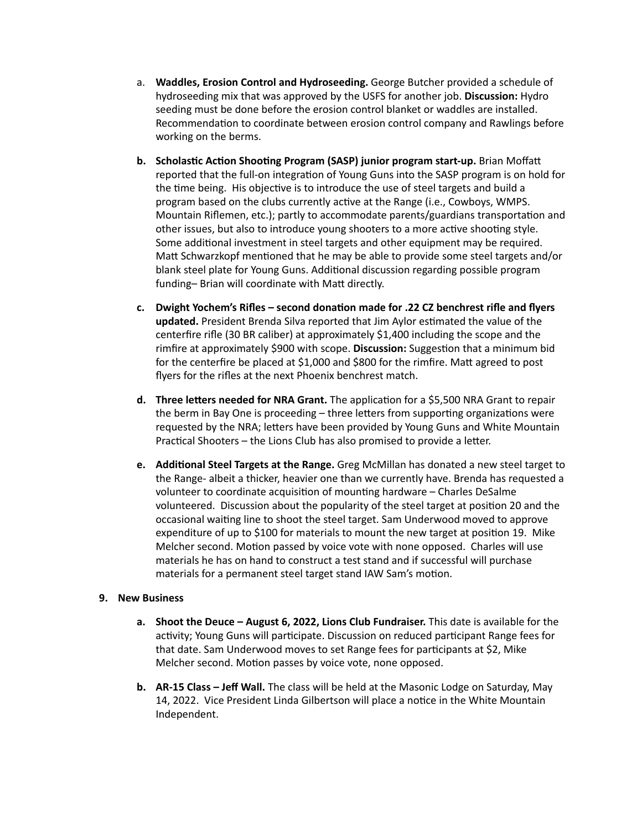- a. **Waddles, Erosion Control and Hydroseeding.** George Butcher provided a schedule of hydroseeding mix that was approved by the USFS for another job. Discussion: Hydro seeding must be done before the erosion control blanket or waddles are installed. Recommendation to coordinate between erosion control company and Rawlings before working on the berms.
- **b. Scholastic Action Shooting Program (SASP) junior program start-up.** Brian Moffatt reported that the full-on integration of Young Guns into the SASP program is on hold for the time being. His objective is to introduce the use of steel targets and build a program based on the clubs currently active at the Range (i.e., Cowboys, WMPS. Mountain Riflemen, etc.); partly to accommodate parents/guardians transportation and other issues, but also to introduce young shooters to a more active shooting style. Some additional investment in steel targets and other equipment may be required. Matt Schwarzkopf mentioned that he may be able to provide some steel targets and/or blank steel plate for Young Guns. Additional discussion regarding possible program funding-Brian will coordinate with Matt directly.
- c. Dwight Yochem's Rifles second donation made for .22 CZ benchrest rifle and flyers **updated.** President Brenda Silva reported that Jim Aylor estimated the value of the centerfire rifle  $(30 \text{ BR}$  caliber) at approximately \$1,400 including the scope and the rimfire at approximately \$900 with scope. **Discussion:** Suggestion that a minimum bid for the centerfire be placed at \$1,000 and \$800 for the rimfire. Matt agreed to post flyers for the rifles at the next Phoenix benchrest match.
- **d. Three letters needed for NRA Grant.** The application for a \$5,500 NRA Grant to repair the berm in Bay One is proceeding  $-$  three letters from supporting organizations were requested by the NRA; letters have been provided by Young Guns and White Mountain Practical Shooters – the Lions Club has also promised to provide a letter.
- **e.** Additional Steel Targets at the Range. Greg McMillan has donated a new steel target to the Range- albeit a thicker, heavier one than we currently have. Brenda has requested a volunteer to coordinate acquisition of mounting hardware - Charles DeSalme volunteered. Discussion about the popularity of the steel target at position 20 and the occasional waiting line to shoot the steel target. Sam Underwood moved to approve expenditure of up to \$100 for materials to mount the new target at position 19. Mike Melcher second. Motion passed by voice vote with none opposed. Charles will use materials he has on hand to construct a test stand and if successful will purchase materials for a permanent steel target stand IAW Sam's motion.

## **9. New Business**

- **a.** Shoot the Deuce August 6, 2022, Lions Club Fundraiser. This date is available for the activity; Young Guns will participate. Discussion on reduced participant Range fees for that date. Sam Underwood moves to set Range fees for participants at \$2, Mike Melcher second. Motion passes by voice vote, none opposed.
- **b.** AR-15 Class Jeff Wall. The class will be held at the Masonic Lodge on Saturday, May 14, 2022. Vice President Linda Gilbertson will place a notice in the White Mountain Independent.